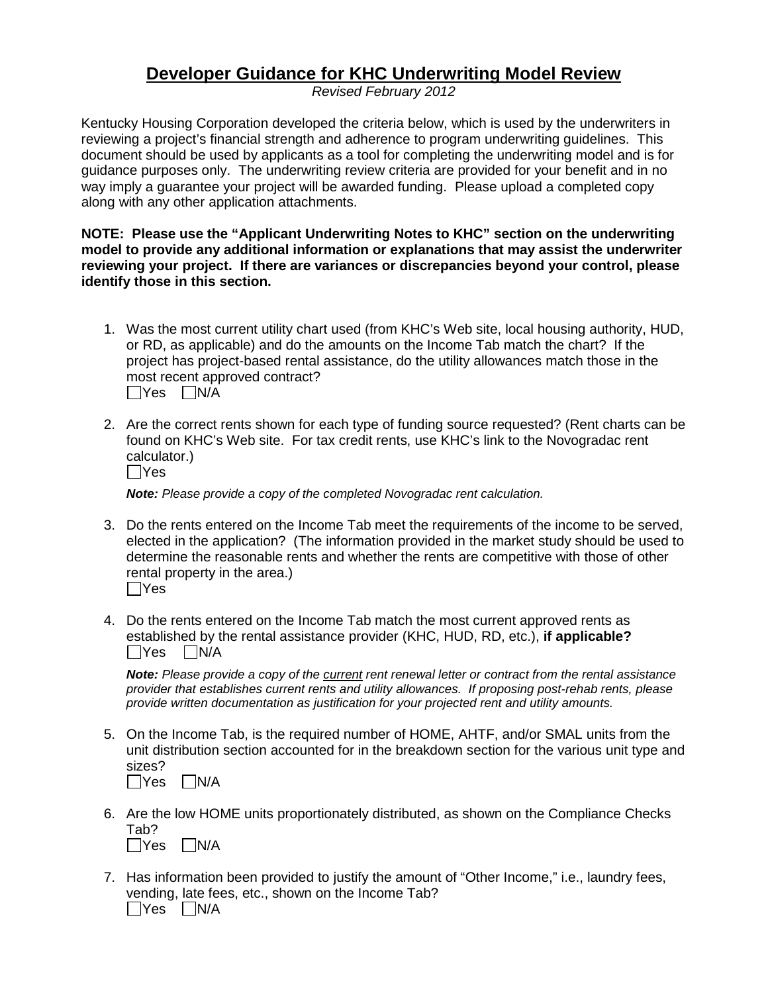## **Developer Guidance for KHC Underwriting Model Review**

*Revised February 2012*

Kentucky Housing Corporation developed the criteria below, which is used by the underwriters in reviewing a project's financial strength and adherence to program underwriting guidelines. This document should be used by applicants as a tool for completing the underwriting model and is for guidance purposes only. The underwriting review criteria are provided for your benefit and in no way imply a guarantee your project will be awarded funding. Please upload a completed copy along with any other application attachments.

## **NOTE: Please use the "Applicant Underwriting Notes to KHC" section on the underwriting model to provide any additional information or explanations that may assist the underwriter reviewing your project. If there are variances or discrepancies beyond your control, please identify those in this section.**

- 1. Was the most current utility chart used (from KHC's Web site, local housing authority, HUD, or RD, as applicable) and do the amounts on the Income Tab match the chart? If the project has project-based rental assistance, do the utility allowances match those in the most recent approved contract?  $\Box$ Yes  $\Box$ N/A
- 2. Are the correct rents shown for each type of funding source requested? (Rent charts can be found on KHC's Web site. For tax credit rents, use KHC's link to the Novogradac rent calculator.)  $\Box$ Yes

*Note: Please provide a copy of the completed Novogradac rent calculation.*

- 3. Do the rents entered on the Income Tab meet the requirements of the income to be served, elected in the application? (The information provided in the market study should be used to determine the reasonable rents and whether the rents are competitive with those of other rental property in the area.)  $\Box$ Yes
- 4. Do the rents entered on the Income Tab match the most current approved rents as established by the rental assistance provider (KHC, HUD, RD, etc.), **if applicable?**  $\bigcap$ Yes  $\bigcap$ N/A

*Note: Please provide a copy of the current rent renewal letter or contract from the rental assistance provider that establishes current rents and utility allowances. If proposing post-rehab rents, please provide written documentation as justification for your projected rent and utility amounts.*

- 5. On the Income Tab, is the required number of HOME, AHTF, and/or SMAL units from the unit distribution section accounted for in the breakdown section for the various unit type and sizes?  $\Box$ Yes  $\Box$ N/A
- 6. Are the low HOME units proportionately distributed, as shown on the Compliance Checks Tab?
	- $\Box$ Yes  $\Box$ N/A
- 7. Has information been provided to justify the amount of "Other Income," i.e., laundry fees, vending, late fees, etc., shown on the Income Tab?  $\Box$ Yes  $\Box$ N/A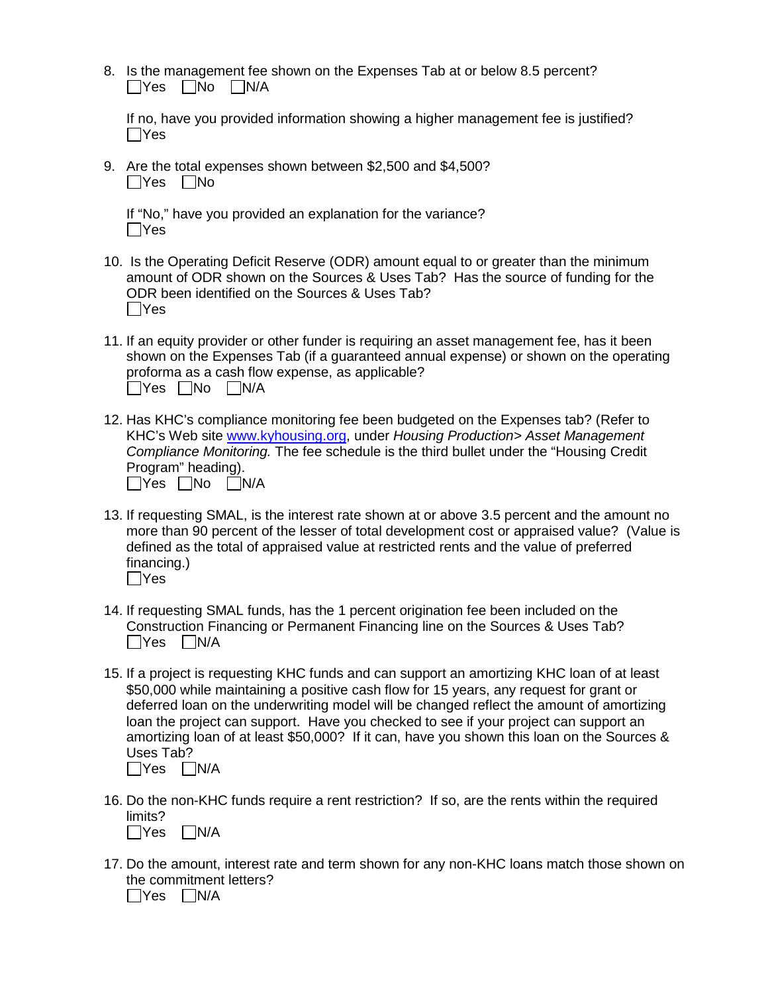|                                 | 8. Is the management fee shown on the Expenses Tab at or below 8.5 percent? |  |  |  |
|---------------------------------|-----------------------------------------------------------------------------|--|--|--|
| $\Box$ Yes $\Box$ No $\Box$ N/A |                                                                             |  |  |  |

If no, have you provided information showing a higher management fee is justified?  $\Box$ Yes

9. Are the total expenses shown between \$2,500 and \$4,500?  $\Box$ Yes  $\Box$ No

|            | If "No," have you provided an explanation for the variance? |  |  |
|------------|-------------------------------------------------------------|--|--|
| $\Box$ Yes |                                                             |  |  |

- 10. Is the Operating Deficit Reserve (ODR) amount equal to or greater than the minimum amount of ODR shown on the Sources & Uses Tab? Has the source of funding for the ODR been identified on the Sources & Uses Tab?  $\Box$ Yes
- 11. If an equity provider or other funder is requiring an asset management fee, has it been shown on the Expenses Tab (if a guaranteed annual expense) or shown on the operating proforma as a cash flow expense, as applicable?  $\Box$ Yes  $\Box$ No  $\Box$ N/A
- 12. Has KHC's compliance monitoring fee been budgeted on the Expenses tab? (Refer to KHC's Web site [www.kyhousing.org,](http://www.kyhousing.org/) under *Housing Production> Asset Management Compliance Monitoring.* The fee schedule is the third bullet under the "Housing Credit Program" heading).  $\Box$ Yes  $\Box$ No  $\Box$ N/A
- 13. If requesting SMAL, is the interest rate shown at or above 3.5 percent and the amount no more than 90 percent of the lesser of total development cost or appraised value? (Value is defined as the total of appraised value at restricted rents and the value of preferred financing.)  $\Box$ Yes
- 14. If requesting SMAL funds, has the 1 percent origination fee been included on the Construction Financing or Permanent Financing line on the Sources & Uses Tab?  $\Box$ Yes  $\Box$ N/A
- 15. If a project is requesting KHC funds and can support an amortizing KHC loan of at least \$50,000 while maintaining a positive cash flow for 15 years, any request for grant or deferred loan on the underwriting model will be changed reflect the amount of amortizing loan the project can support. Have you checked to see if your project can support an amortizing loan of at least \$50,000? If it can, have you shown this loan on the Sources & Uses Tab?  $\Box$ Yes  $\Box$ N/A
- 16. Do the non-KHC funds require a rent restriction? If so, are the rents within the required limits?  $\Box$ Yes  $\Box$ N/A
- 17. Do the amount, interest rate and term shown for any non-KHC loans match those shown on the commitment letters?

 $\Box$ Yes  $\Box$ N/A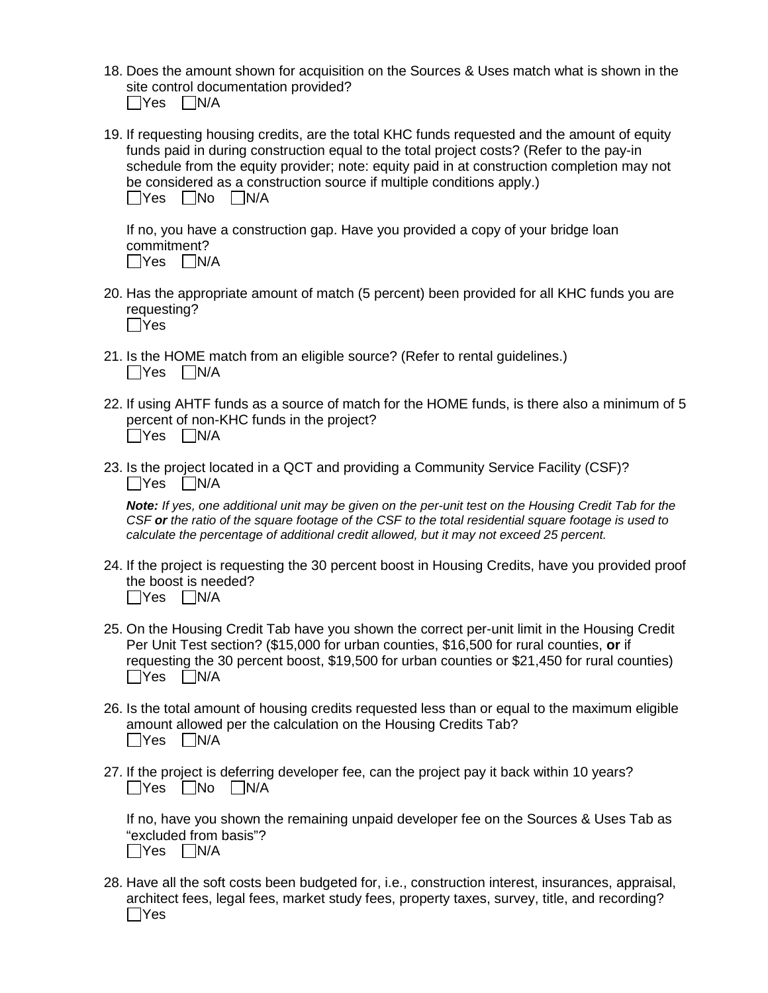18. Does the amount shown for acquisition on the Sources & Uses match what is shown in the site control documentation provided?

| lYes | IN/A |
|------|------|
|------|------|

19. If requesting housing credits, are the total KHC funds requested and the amount of equity funds paid in during construction equal to the total project costs? (Refer to the pay-in schedule from the equity provider; note: equity paid in at construction completion may not be considered as a construction source if multiple conditions apply.)  $\Box$ Yes  $\Box$ No  $\Box$ N/A

If no, you have a construction gap. Have you provided a copy of your bridge loan commitment?  $\Box$ Yes  $\Box$ N/A

- 20. Has the appropriate amount of match (5 percent) been provided for all KHC funds you are requesting?  $\Box$ Yes
- 21. Is the HOME match from an eligible source? (Refer to rental guidelines.)  $\Box$ Yes  $\Box$ N/A
- 22. If using AHTF funds as a source of match for the HOME funds, is there also a minimum of 5 percent of non-KHC funds in the project?  $\Box$ Yes  $\Box$ N/A
- 23. Is the project located in a QCT and providing a Community Service Facility (CSF)?  $\Box$ Yes  $\Box$ N/A

*Note: If yes, one additional unit may be given on the per-unit test on the Housing Credit Tab for the CSF or the ratio of the square footage of the CSF to the total residential square footage is used to calculate the percentage of additional credit allowed, but it may not exceed 25 percent.*

- 24. If the project is requesting the 30 percent boost in Housing Credits, have you provided proof the boost is needed?  $\Box$ Yes  $\Box$ N/A
- 25. On the Housing Credit Tab have you shown the correct per-unit limit in the Housing Credit Per Unit Test section? (\$15,000 for urban counties, \$16,500 for rural counties, **or** if requesting the 30 percent boost, \$19,500 for urban counties or \$21,450 for rural counties)  $\Box$ Yes  $\Box$ N/A
- 26. Is the total amount of housing credits requested less than or equal to the maximum eligible amount allowed per the calculation on the Housing Credits Tab?  $\Box$ Yes  $\Box$ N/A
- 27. If the project is deferring developer fee, can the project pay it back within 10 years?  $\Box$ Yes  $\Box$ No  $\Box$ N/A

If no, have you shown the remaining unpaid developer fee on the Sources & Uses Tab as "excluded from basis"?  $\Box$ Yes  $\Box$ N/A

28. Have all the soft costs been budgeted for, i.e., construction interest, insurances, appraisal, architect fees, legal fees, market study fees, property taxes, survey, title, and recording? Yes